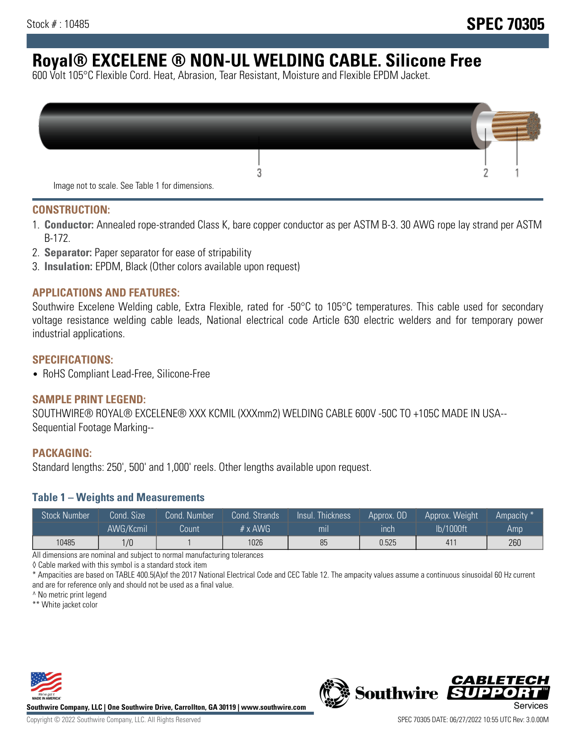# **Royal® EXCELENE ® NON-UL WELDING CABLE. Silicone Free**

600 Volt 105°C Flexible Cord. Heat, Abrasion, Tear Resistant, Moisture and Flexible EPDM Jacket.

| Image not to scale. See Table 1 for dimensions. |  |
|-------------------------------------------------|--|

#### **CONSTRUCTION:**

- 1. **Conductor:** Annealed rope-stranded Class K, bare copper conductor as per ASTM B-3. 30 AWG rope lay strand per ASTM B-172.
- 2. **Separator:** Paper separator for ease of stripability
- 3. **Insulation:** EPDM, Black (Other colors available upon request)

### **APPLICATIONS AND FEATURES:**

Southwire Excelene Welding cable, Extra Flexible, rated for -50°C to 105°C temperatures. This cable used for secondary voltage resistance welding cable leads, National electrical code Article 630 electric welders and for temporary power industrial applications.

#### **SPECIFICATIONS:**

• RoHS Compliant Lead-Free, Silicone-Free

#### **SAMPLE PRINT LEGEND:**

SOUTHWIRE® ROYAL® EXCELENE® XXX KCMIL (XXXmm2) WELDING CABLE 600V -50C TO +105C MADE IN USA-- Sequential Footage Marking--

#### **PACKAGING:**

Standard lengths: 250', 500' and 1,000' reels. Other lengths available upon request.

#### **Table 1 – Weights and Measurements**

| <b>Stock Number</b> | Cond. Size | Cond. Number | Cond. Strands  | Insul. Thickness | Approx. OD | Approx. Weight | "Ampacity" |
|---------------------|------------|--------------|----------------|------------------|------------|----------------|------------|
|                     | AWG/Kcmil  | Count        | # $\times$ AWG | mılı             | ınch       | lb/1000ft      | Amp        |
| 10485               | 1/0        |              | 1026           | 85               | 0.525      | 411            | 260        |

All dimensions are nominal and subject to normal manufacturing tolerances

◊ Cable marked with this symbol is a standard stock item

\* Ampacities are based on TABLE 400.5(A)of the 2017 National Electrical Code and CEC Table 12. The ampacity values assume a continuous sinusoidal 60 Hz current and are for reference only and should not be used as a final value.

^ No metric print legend

\*\* White jacket color



**Southwire Company, LLC | One Southwire Drive, Carrollton, GA 30119 | www.southwire.com**